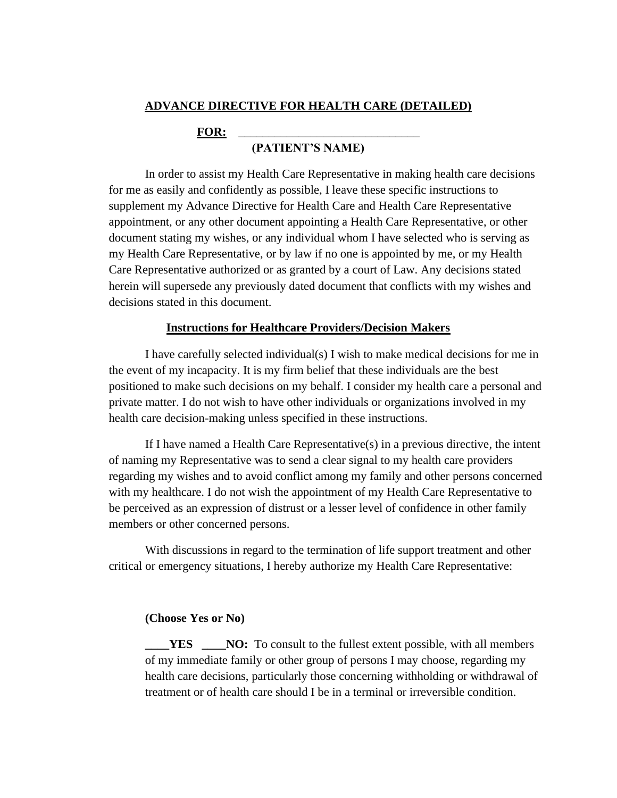## **ADVANCE DIRECTIVE FOR HEALTH CARE (DETAILED)**

## FOR:

## **(PATIENT'S NAME)**

In order to assist my Health Care Representative in making health care decisions for me as easily and confidently as possible, I leave these specific instructions to supplement my Advance Directive for Health Care and Health Care Representative appointment, or any other document appointing a Health Care Representative, or other document stating my wishes, or any individual whom I have selected who is serving as my Health Care Representative, or by law if no one is appointed by me, or my Health Care Representative authorized or as granted by a court of Law. Any decisions stated herein will supersede any previously dated document that conflicts with my wishes and decisions stated in this document.

#### **Instructions for Healthcare Providers/Decision Makers**

I have carefully selected individual(s) I wish to make medical decisions for me in the event of my incapacity. It is my firm belief that these individuals are the best positioned to make such decisions on my behalf. I consider my health care a personal and private matter. I do not wish to have other individuals or organizations involved in my health care decision-making unless specified in these instructions.

If I have named a Health Care Representative(s) in a previous directive, the intent of naming my Representative was to send a clear signal to my health care providers regarding my wishes and to avoid conflict among my family and other persons concerned with my healthcare. I do not wish the appointment of my Health Care Representative to be perceived as an expression of distrust or a lesser level of confidence in other family members or other concerned persons.

With discussions in regard to the termination of life support treatment and other critical or emergency situations, I hereby authorize my Health Care Representative:

#### **(Choose Yes or No)**

**YES** NO: To consult to the fullest extent possible, with all members of my immediate family or other group of persons I may choose, regarding my health care decisions, particularly those concerning withholding or withdrawal of treatment or of health care should I be in a terminal or irreversible condition.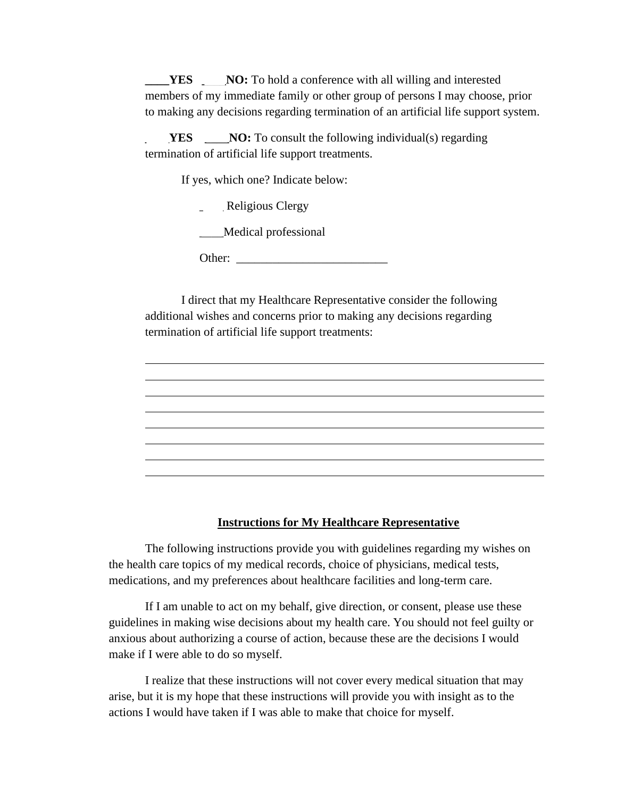**YES** NO: To hold a conference with all willing and interested members of my immediate family or other group of persons I may choose, prior to making any decisions regarding termination of an artificial life support system.

**YES** \_\_\_\_**NO:** To consult the following individual(s) regarding termination of artificial life support treatments.

If yes, which one? Indicate below:

- Religious Clergy
- \_\_\_\_Medical professional

Other: \_\_\_\_\_\_\_\_\_\_\_\_\_\_\_\_\_\_\_\_\_\_\_\_\_

I direct that my Healthcare Representative consider the following additional wishes and concerns prior to making any decisions regarding termination of artificial life support treatments:

## **Instructions for My Healthcare Representative**

The following instructions provide you with guidelines regarding my wishes on the health care topics of my medical records, choice of physicians, medical tests, medications, and my preferences about healthcare facilities and long-term care.

If I am unable to act on my behalf, give direction, or consent, please use these guidelines in making wise decisions about my health care. You should not feel guilty or anxious about authorizing a course of action, because these are the decisions I would make if I were able to do so myself.

I realize that these instructions will not cover every medical situation that may arise, but it is my hope that these instructions will provide you with insight as to the actions I would have taken if I was able to make that choice for myself.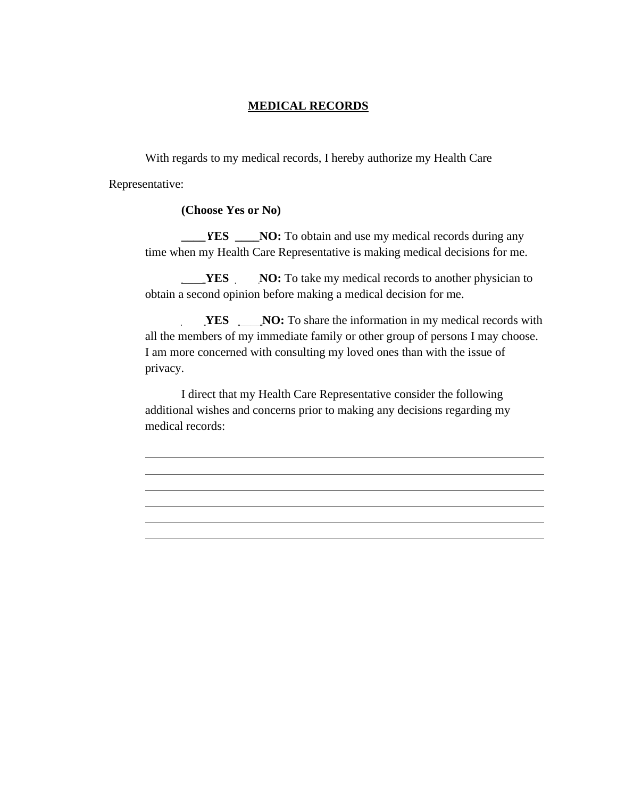# **MEDICAL RECORDS**

With regards to my medical records, I hereby authorize my Health Care Representative:

#### **(Choose Yes or No)**

**FORUP ANO:** To obtain and use my medical records during any time when my Health Care Representative is making medical decisions for me.

**THES** NO: To take my medical records to another physician to obtain a second opinion before making a medical decision for me.

**YES** NO: To share the information in my medical records with all the members of my immediate family or other group of persons I may choose. I am more concerned with consulting my loved ones than with the issue of privacy.

I direct that my Health Care Representative consider the following additional wishes and concerns prior to making any decisions regarding my medical records: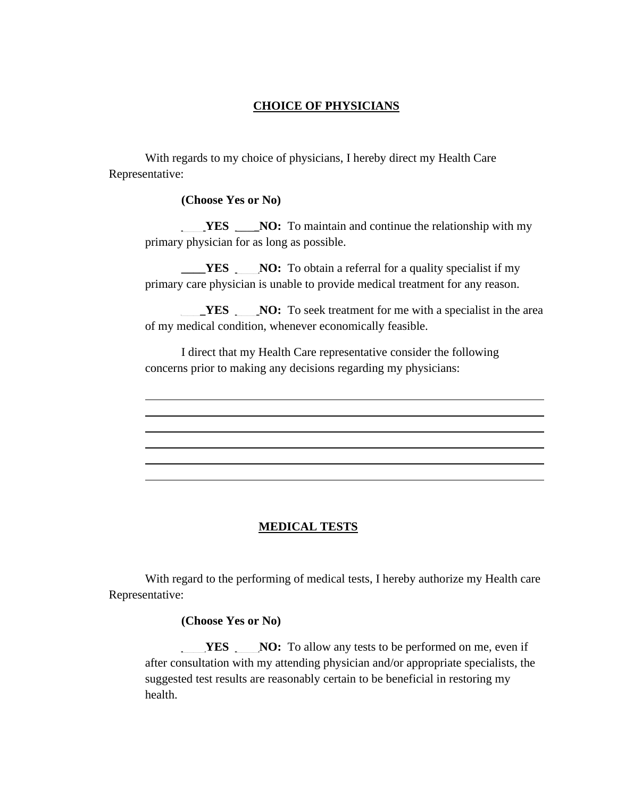# **CHOICE OF PHYSICIANS**

With regards to my choice of physicians, I hereby direct my Health Care Representative:

**(Choose Yes or No)**

**THES \_\_\_\_NO:** To maintain and continue the relationship with my primary physician for as long as possible.

**EXECUPE:** NO: To obtain a referral for a quality specialist if my primary care physician is unable to provide medical treatment for any reason.

**EXECURES \_\_\_\_NO:** To seek treatment for me with a specialist in the area of my medical condition, whenever economically feasible.

I direct that my Health Care representative consider the following concerns prior to making any decisions regarding my physicians:

# **MEDICAL TESTS**

With regard to the performing of medical tests, I hereby authorize my Health care Representative:

**(Choose Yes or No)**

**YES** NO: To allow any tests to be performed on me, even if after consultation with my attending physician and/or appropriate specialists, the suggested test results are reasonably certain to be beneficial in restoring my health.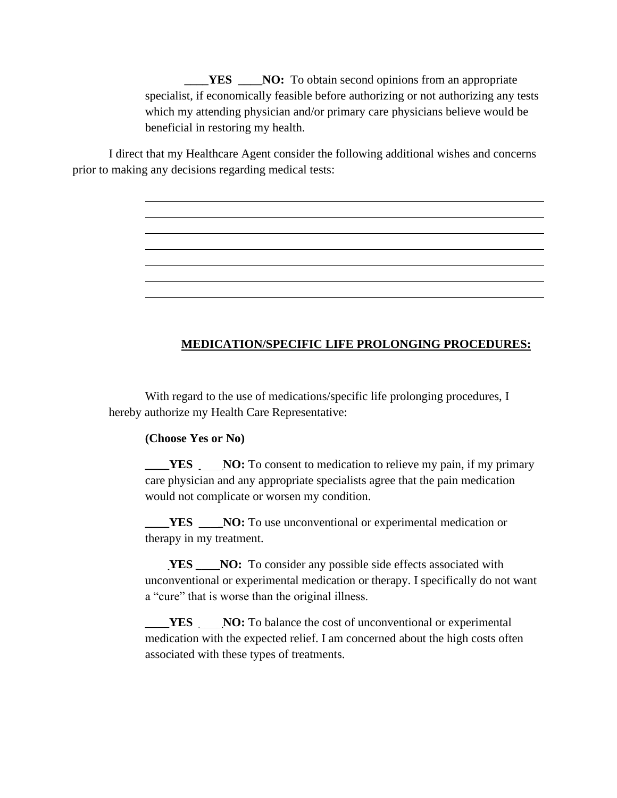**TES** \_\_\_**NO:** To obtain second opinions from an appropriate specialist, if economically feasible before authorizing or not authorizing any tests which my attending physician and/or primary care physicians believe would be beneficial in restoring my health.

I direct that my Healthcare Agent consider the following additional wishes and concerns prior to making any decisions regarding medical tests:

# **MEDICATION/SPECIFIC LIFE PROLONGING PROCEDURES:**

With regard to the use of medications/specific life prolonging procedures, I hereby authorize my Health Care Representative:

#### **(Choose Yes or No)**

**THES** NO: To consent to medication to relieve my pain, if my primary care physician and any appropriate specialists agree that the pain medication would not complicate or worsen my condition.

**TES** NO: To use unconventional or experimental medication or therapy in my treatment.

**YES** NO: To consider any possible side effects associated with unconventional or experimental medication or therapy. I specifically do not want a "cure" that is worse than the original illness.

**YES** NO: To balance the cost of unconventional or experimental medication with the expected relief. I am concerned about the high costs often associated with these types of treatments.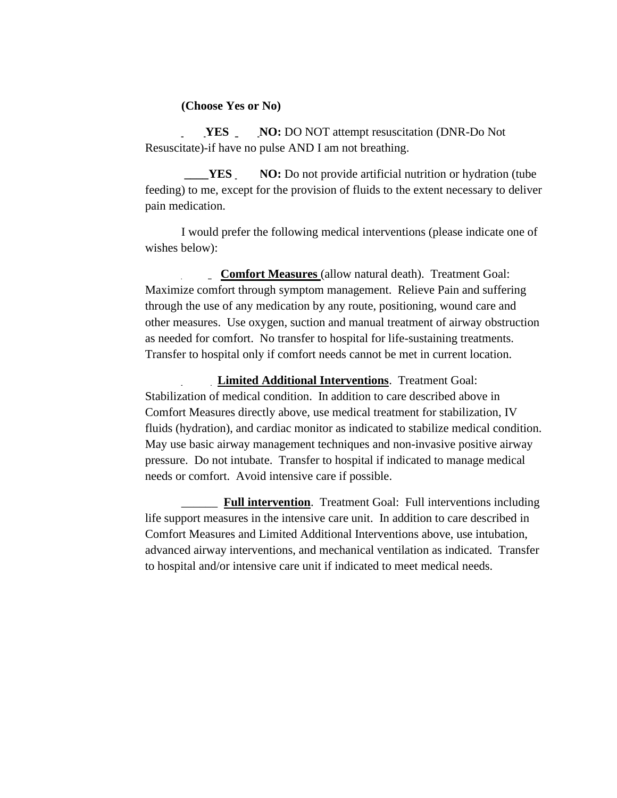#### **(Choose Yes or No)**

**\_\_\_\_YES \_\_\_\_NO:** DO NOT attempt resuscitation (DNR-Do Not Resuscitate)-if have no pulse AND I am not breathing.

**YES** NO: Do not provide artificial nutrition or hydration (tube feeding) to me, except for the provision of fluids to the extent necessary to deliver pain medication.

I would prefer the following medical interventions (please indicate one of wishes below):

\_\_\_\_\_ **Comfort Measures** (allow natural death). Treatment Goal: Maximize comfort through symptom management. Relieve Pain and suffering through the use of any medication by any route, positioning, wound care and other measures. Use oxygen, suction and manual treatment of airway obstruction as needed for comfort. No transfer to hospital for life-sustaining treatments. Transfer to hospital only if comfort needs cannot be met in current location.

\_\_\_\_\_ **Limited Additional Interventions**. Treatment Goal: Stabilization of medical condition. In addition to care described above in Comfort Measures directly above, use medical treatment for stabilization, IV fluids (hydration), and cardiac monitor as indicated to stabilize medical condition. May use basic airway management techniques and non-invasive positive airway pressure. Do not intubate. Transfer to hospital if indicated to manage medical needs or comfort. Avoid intensive care if possible.

**Full intervention.** Treatment Goal: Full interventions including life support measures in the intensive care unit. In addition to care described in Comfort Measures and Limited Additional Interventions above, use intubation, advanced airway interventions, and mechanical ventilation as indicated. Transfer to hospital and/or intensive care unit if indicated to meet medical needs.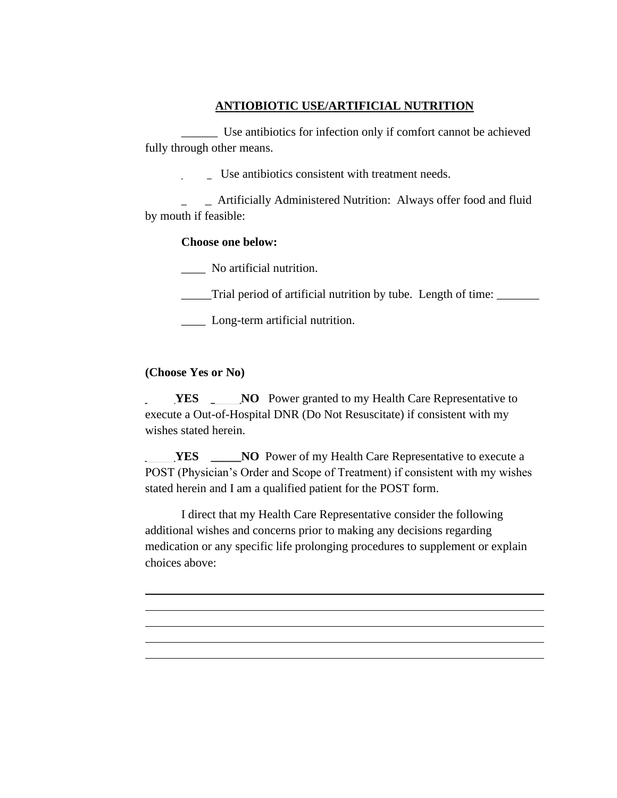# **ANTIOBIOTIC USE/ARTIFICIAL NUTRITION**

\_\_\_\_\_\_ Use antibiotics for infection only if comfort cannot be achieved fully through other means.

\_\_\_\_\_ Use antibiotics consistent with treatment needs.

\_\_\_\_\_ Artificially Administered Nutrition: Always offer food and fluid by mouth if feasible:

## **Choose one below:**

\_\_\_\_ No artificial nutrition.

\_\_\_\_\_Trial period of artificial nutrition by tube. Length of time: \_\_\_\_\_\_\_

**Long-term artificial nutrition.** 

# **(Choose Yes or No)**

**YES** \_\_\_\_\_**NO** Power granted to my Health Care Representative to execute a Out-of-Hospital DNR (Do Not Resuscitate) if consistent with my wishes stated herein.

**YES** \_\_\_\_\_**NO** Power of my Health Care Representative to execute a POST (Physician's Order and Scope of Treatment) if consistent with my wishes stated herein and I am a qualified patient for the POST form.

I direct that my Health Care Representative consider the following additional wishes and concerns prior to making any decisions regarding medication or any specific life prolonging procedures to supplement or explain choices above: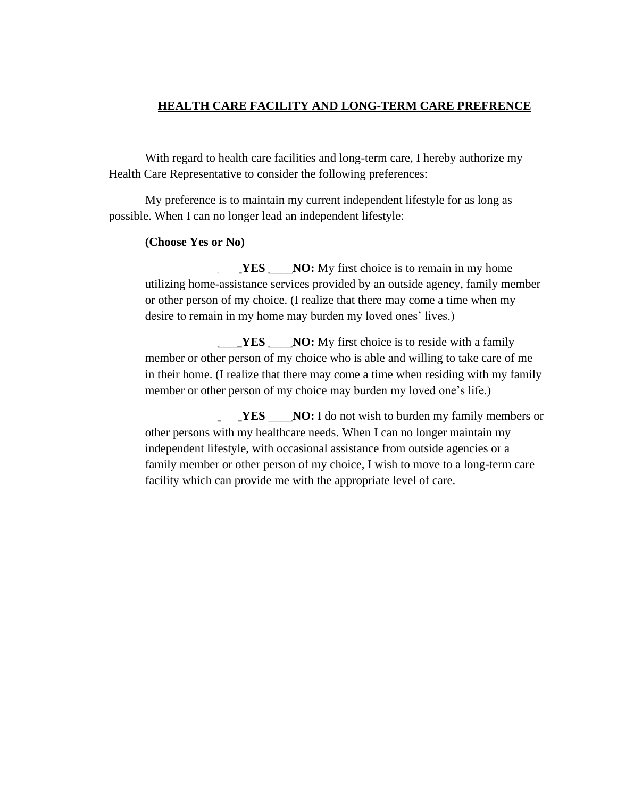# **HEALTH CARE FACILITY AND LONG-TERM CARE PREFRENCE**

With regard to health care facilities and long-term care, I hereby authorize my Health Care Representative to consider the following preferences:

My preference is to maintain my current independent lifestyle for as long as possible. When I can no longer lead an independent lifestyle:

## **(Choose Yes or No)**

**YES** NO: My first choice is to remain in my home utilizing home-assistance services provided by an outside agency, family member or other person of my choice. (I realize that there may come a time when my desire to remain in my home may burden my loved ones' lives.)

**\_YES** \_\_\_\_**NO:** My first choice is to reside with a family member or other person of my choice who is able and willing to take care of me in their home. (I realize that there may come a time when residing with my family member or other person of my choice may burden my loved one's life.)

**YES** NO: I do not wish to burden my family members or other persons with my healthcare needs. When I can no longer maintain my independent lifestyle, with occasional assistance from outside agencies or a family member or other person of my choice, I wish to move to a long-term care facility which can provide me with the appropriate level of care.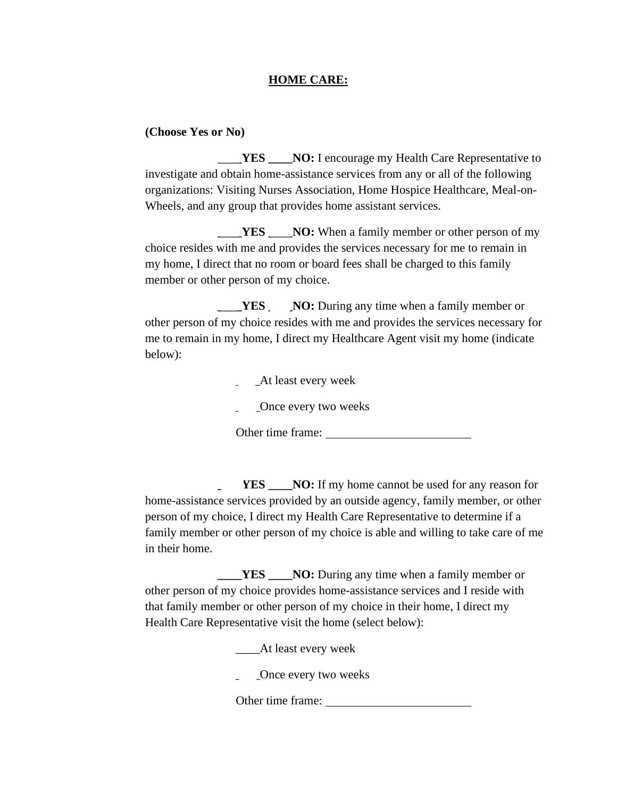## **HOME CARE:**

### **(Choose Yes or No)**

**YES** \_\_**NO:** I encourage my Health Care Representative to investigate and obtain home-assistance services from any or all of the following organizations: Visiting Nurses Association, Home Hospice Healthcare, Meal-on-Wheels, and any group that provides home assistant services.

**THES** NO: When a family member or other person of my choice resides with me and provides the services necessary for me to remain in my home, I direct that no room or board fees shall be charged to this family member or other person of my choice.

**EXECUPE ANO:** During any time when a family member or other person of my choice resides with me and provides the services necessary for me to remain in my home, I direct my Healthcare Agent visit my home (indicate below):

\_\_\_\_At least every week

Once every two weeks

Other time frame:

**YES** NO: If my home cannot be used for any reason for home-assistance services provided by an outside agency, family member, or other person of my choice, I direct my Health Care Representative to determine if a family member or other person of my choice is able and willing to take care of me in their home.

YES \_\_\_\_NO: During any time when a family member or other person of my choice provides home-assistance services and I reside with that family member or other person of my choice in their home, I direct my Health Care Representative visit the home (select below):

\_\_\_\_At least every week

\_\_\_\_Once every two weeks

Other time frame: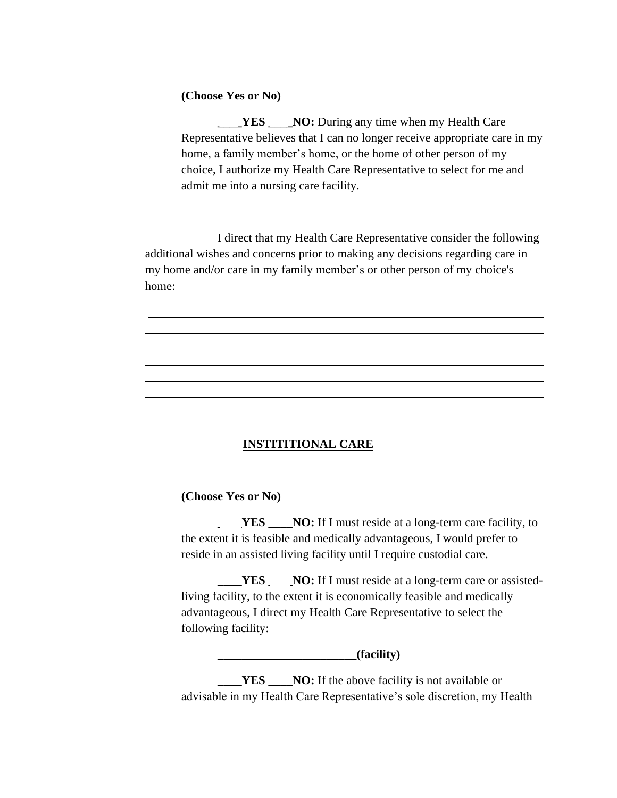## **(Choose Yes or No)**

**THES** NO: During any time when my Health Care Representative believes that I can no longer receive appropriate care in my home, a family member's home, or the home of other person of my choice, I authorize my Health Care Representative to select for me and admit me into a nursing care facility.

I direct that my Health Care Representative consider the following additional wishes and concerns prior to making any decisions regarding care in my home and/or care in my family member's or other person of my choice's home:

# **INSTITITIONAL CARE**

# **(Choose Yes or No)**

**YES** \_\_\_\_**NO:** If I must reside at a long-term care facility, to the extent it is feasible and medically advantageous, I would prefer to reside in an assisted living facility until I require custodial care.

**THES** NO: If I must reside at a long-term care or assistedliving facility, to the extent it is economically feasible and medically advantageous, I direct my Health Care Representative to select the following facility:

**\_\_\_\_\_\_\_\_\_\_\_\_\_\_\_\_\_\_\_\_\_\_\_(facility)**

**\_\_\_\_YES** \_\_\_\_**NO:** If the above facility is not available or advisable in my Health Care Representative's sole discretion, my Health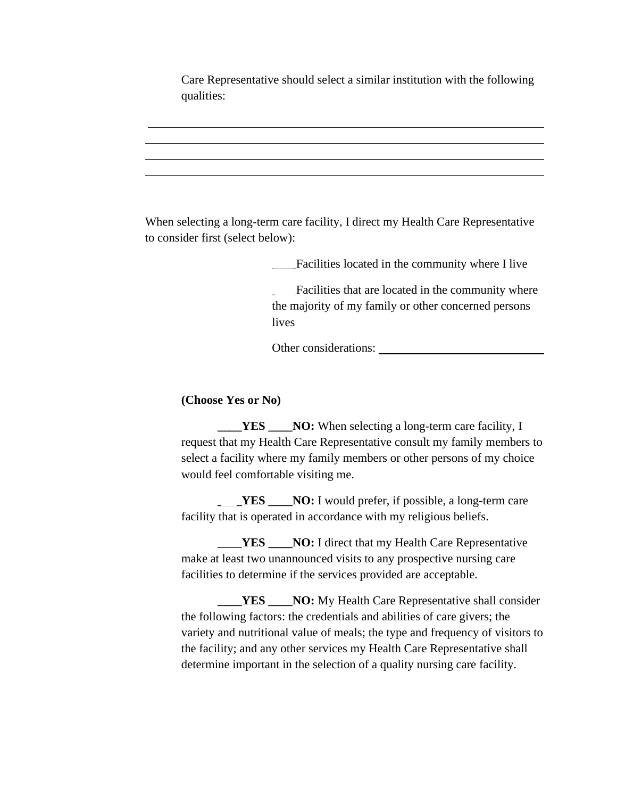Care Representative should select a similar institution with the following qualities:

When selecting a long-term care facility, I direct my Health Care Representative to consider first (select below):

\_\_\_\_Facilities located in the community where I live

Facilities that are located in the community where the majority of my family or other concerned persons lives

Other considerations:

**(Choose Yes or No)**

**THES** NO: When selecting a long-term care facility, I request that my Health Care Representative consult my family members to select a facility where my family members or other persons of my choice would feel comfortable visiting me.

**THES** NO: I would prefer, if possible, a long-term care facility that is operated in accordance with my religious beliefs.

\_\_\_\_**YES \_\_\_\_NO:** I direct that my Health Care Representative make at least two unannounced visits to any prospective nursing care facilities to determine if the services provided are acceptable.

**LES \_\_\_NO:** My Health Care Representative shall consider the following factors: the credentials and abilities of care givers; the variety and nutritional value of meals; the type and frequency of visitors to the facility; and any other services my Health Care Representative shall determine important in the selection of a quality nursing care facility.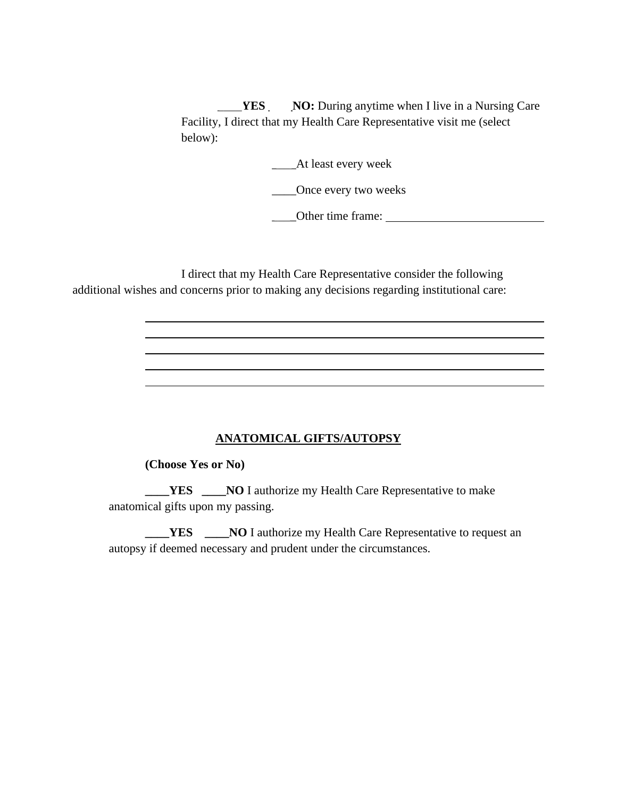**YES** NO: During anytime when I live in a Nursing Care Facility, I direct that my Health Care Representative visit me (select below):

\_\_\_\_At least every week

\_\_\_\_Once every two weeks

\_\_\_\_Other time frame:

I direct that my Health Care Representative consider the following additional wishes and concerns prior to making any decisions regarding institutional care:

# **ANATOMICAL GIFTS/AUTOPSY**

#### **(Choose Yes or No)**

**THES** \_\_\_\_**NO** I authorize my Health Care Representative to make anatomical gifts upon my passing.

**\_\_\_\_YES** \_\_\_\_**NO** I authorize my Health Care Representative to request an autopsy if deemed necessary and prudent under the circumstances.